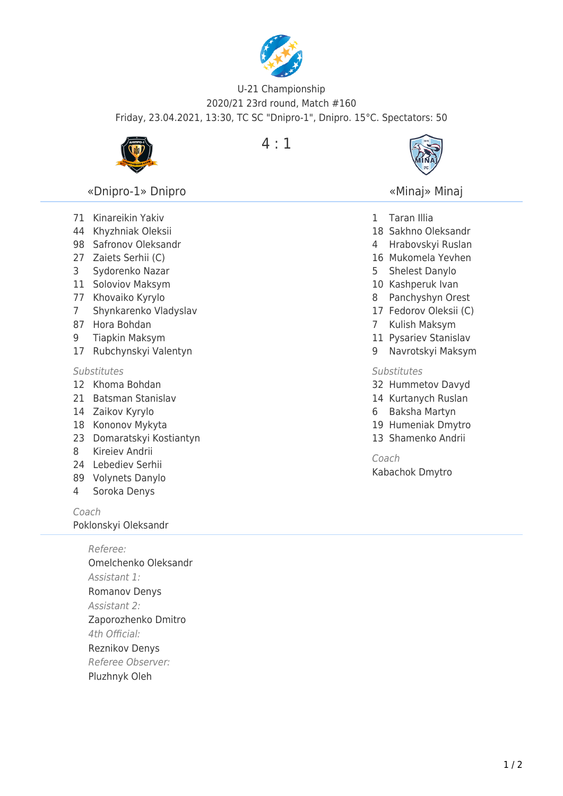

## U-21 Championship 2020/21 23rd round, Match #160 Friday, 23.04.2021, 13:30, TC SC "Dnipro-1", Dnipro. 15°C. Spectators: 50



4 : 1



## «Minaj» Minaj

- Taran Illia
- Sakhno Oleksandr
- Hrabovskyi Ruslan
- Mukomela Yevhen
- Shelest Danylo
- Kashperuk Ivan
- Panchyshyn Orest
- Fedorov Oleksii (C)
- Kulish Maksym
- Pysariev Stanislav
- Navrotskyi Maksym

## **Substitutes**

- Hummetov Davyd
- Kurtanych Ruslan
- Baksha Martyn
- Humeniak Dmytro
- Shamenko Andrii

Coach

Kabachok Dmytro

«Dnipro-1» Dnipro

- Kinareikin Yakiv
- Khyzhniak Oleksii
- Safronov Oleksandr
- Zaiets Serhii (C)
- Sydorenko Nazar
- Soloviov Maksym
- Khovaiko Kyrylo
- Shynkarenko Vladyslav
- Hora Bohdan
- Tiapkin Maksym
- Rubchynskyi Valentyn

## **Substitutes**

- Khoma Bohdan
- Batsman Stanislav
- Zaikov Kyrylo
- Kononov Mykyta
- Domaratskyi Kostiantyn
- Kireiev Andrii
- Lebediev Serhii
- Volynets Danylo
- Soroka Denys

Coach

Poklonskyi Oleksandr

Referee: Omelchenko Oleksandr Assistant 1: Romanov Denys Assistant 2: Zaporozhenko Dmitro 4th Official: Reznikov Denys Referee Observer: Pluzhnyk Oleh